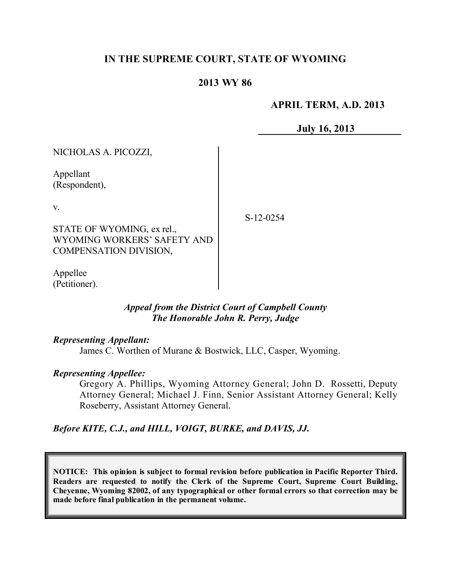## **IN THE SUPREME COURT, STATE OF WYOMING**

## **2013 WY 86**

### **APRIL TERM, A.D. 2013**

**July 16, 2013**

NICHOLAS A. PICOZZI, Appellant (Respondent), v. STATE OF WYOMING, ex rel., WYOMING WORKERS' SAFETY AND COMPENSATION DIVISION, S-12-0254

Appellee (Petitioner).

### *Appeal from the District Court of Campbell County The Honorable John R. Perry, Judge*

#### *Representing Appellant:*

James C. Worthen of Murane & Bostwick, LLC, Casper, Wyoming.

### *Representing Appellee:*

Gregory A. Phillips, Wyoming Attorney General; John D. Rossetti, Deputy Attorney General; Michael J. Finn, Senior Assistant Attorney General; Kelly Roseberry, Assistant Attorney General.

### *Before KITE, C.J., and HILL, VOIGT, BURKE, and DAVIS, JJ.*

**NOTICE: This opinion is subject to formal revision before publication in Pacific Reporter Third. Readers are requested to notify the Clerk of the Supreme Court, Supreme Court Building, Cheyenne, Wyoming 82002, of any typographical or other formal errors so that correction may be made before final publication in the permanent volume.**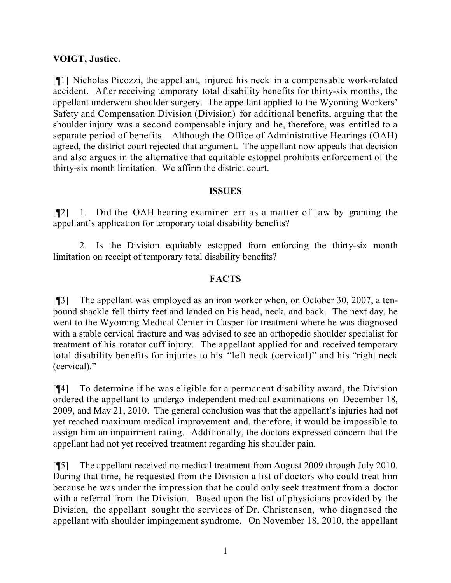## **VOIGT, Justice.**

[¶1] Nicholas Picozzi, the appellant, injured his neck in a compensable work-related accident. After receiving temporary total disability benefits for thirty-six months, the appellant underwent shoulder surgery. The appellant applied to the Wyoming Workers' Safety and Compensation Division (Division) for additional benefits, arguing that the shoulder injury was a second compensable injury and he, therefore, was entitled to a separate period of benefits. Although the Office of Administrative Hearings (OAH) agreed, the district court rejected that argument. The appellant now appeals that decision and also argues in the alternative that equitable estoppel prohibits enforcement of the thirty-six month limitation. We affirm the district court.

### **ISSUES**

[¶2] 1. Did the OAH hearing examiner err as a matter of law by granting the appellant's application for temporary total disability benefits?

2. Is the Division equitably estopped from enforcing the thirty-six month limitation on receipt of temporary total disability benefits?

## **FACTS**

[¶3] The appellant was employed as an iron worker when, on October 30, 2007, a tenpound shackle fell thirty feet and landed on his head, neck, and back. The next day, he went to the Wyoming Medical Center in Casper for treatment where he was diagnosed with a stable cervical fracture and was advised to see an orthopedic shoulder specialist for treatment of his rotator cuff injury. The appellant applied for and received temporary total disability benefits for injuries to his "left neck (cervical)" and his "right neck (cervical)."

[¶4] To determine if he was eligible for a permanent disability award, the Division ordered the appellant to undergo independent medical examinations on December 18, 2009, and May 21, 2010. The general conclusion was that the appellant's injuries had not yet reached maximum medical improvement and, therefore, it would be impossible to assign him an impairment rating. Additionally, the doctors expressed concern that the appellant had not yet received treatment regarding his shoulder pain.

[¶5] The appellant received no medical treatment from August 2009 through July 2010. During that time, he requested from the Division a list of doctors who could treat him because he was under the impression that he could only seek treatment from a doctor with a referral from the Division. Based upon the list of physicians provided by the Division, the appellant sought the services of Dr. Christensen, who diagnosed the appellant with shoulder impingement syndrome. On November 18, 2010, the appellant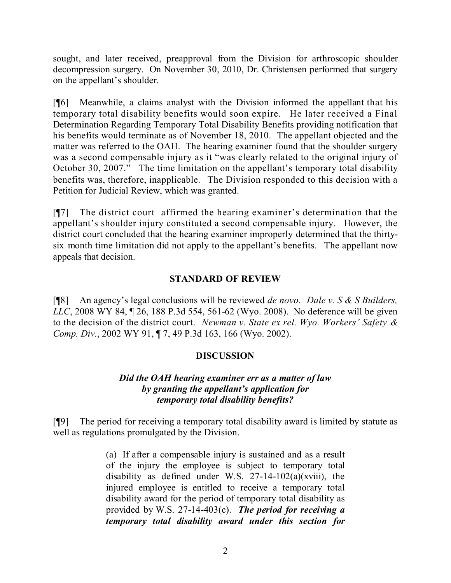sought, and later received, preapproval from the Division for arthroscopic shoulder decompression surgery. On November 30, 2010, Dr. Christensen performed that surgery on the appellant's shoulder.

[¶6] Meanwhile, a claims analyst with the Division informed the appellant that his temporary total disability benefits would soon expire. He later received a Final Determination Regarding Temporary Total Disability Benefits providing notification that his benefits would terminate as of November 18, 2010. The appellant objected and the matter was referred to the OAH. The hearing examiner found that the shoulder surgery was a second compensable injury as it "was clearly related to the original injury of October 30, 2007." The time limitation on the appellant's temporary total disability benefits was, therefore, inapplicable. The Division responded to this decision with a Petition for Judicial Review, which was granted.

[¶7] The district court affirmed the hearing examiner's determination that the appellant's shoulder injury constituted a second compensable injury. However, the district court concluded that the hearing examiner improperly determined that the thirtysix month time limitation did not apply to the appellant's benefits. The appellant now appeals that decision.

## **STANDARD OF REVIEW**

[¶8] An agency's legal conclusions will be reviewed *de novo*. *Dale v. S & S Builders, LLC*, 2008 WY 84, ¶ 26, 188 P.3d 554, 561-62 (Wyo. 2008). No deference will be given to the decision of the district court. *Newman v. State ex rel. Wyo. Workers' Safety & Comp. Div.*, 2002 WY 91, ¶ 7, 49 P.3d 163, 166 (Wyo. 2002).

# **DISCUSSION**

## *Did the OAH hearing examiner err as a matter of law by granting the appellant's application for temporary total disability benefits?*

[¶9] The period for receiving a temporary total disability award is limited by statute as well as regulations promulgated by the Division.

> (a) If after a compensable injury is sustained and as a result of the injury the employee is subject to temporary total disability as defined under W.S.  $27-14-102(a)(xviii)$ , the injured employee is entitled to receive a temporary total disability award for the period of temporary total disability as provided by W.S. 27-14-403(c). *The period for receiving a temporary total disability award under this section for*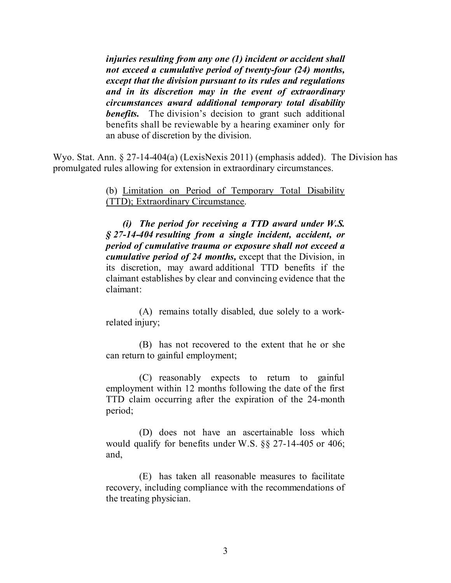*injuries resulting from any one (1) incident or accident shall not exceed a cumulative period of twenty-four (24) months, except that the division pursuant to its rules and regulations and in its discretion may in the event of extraordinary circumstances award additional temporary total disability benefits.* The division's decision to grant such additional benefits shall be reviewable by a hearing examiner only for an abuse of discretion by the division.

Wyo. Stat. Ann. § 27-14-404(a) (LexisNexis 2011) (emphasis added). The Division has promulgated rules allowing for extension in extraordinary circumstances.

> (b) Limitation on Period of Temporary Total Disability (TTD); Extraordinary Circumstance.

> *(i) The period for receiving a TTD award under W.S. § 27-14-404 resulting from a single incident, accident, or period of cumulative trauma or exposure shall not exceed a cumulative period of 24 months,* except that the Division, in its discretion, may award additional TTD benefits if the claimant establishes by clear and convincing evidence that the claimant:

> (A) remains totally disabled, due solely to a workrelated injury;

> (B) has not recovered to the extent that he or she can return to gainful employment;

> (C) reasonably expects to return to gainful employment within 12 months following the date of the first TTD claim occurring after the expiration of the 24-month period;

> (D) does not have an ascertainable loss which would qualify for benefits under W.S. §§ 27-14-405 or 406; and,

> (E) has taken all reasonable measures to facilitate recovery, including compliance with the recommendations of the treating physician.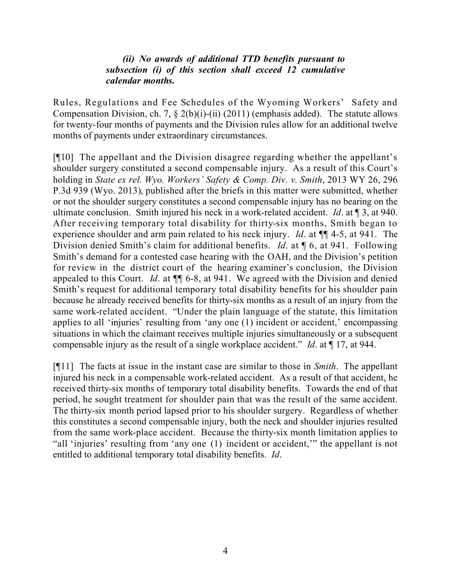### *(ii) No awards of additional TTD benefits pursuant to subsection (i) of this section shall exceed 12 cumulative calendar months.*

Rules, Regulations and Fee Schedules of the Wyoming Workers' Safety and Compensation Division, ch. 7,  $\S 2(b)(i)$ -(ii) (2011) (emphasis added). The statute allows for twenty-four months of payments and the Division rules allow for an additional twelve months of payments under extraordinary circumstances.

[¶10] The appellant and the Division disagree regarding whether the appellant's shoulder surgery constituted a second compensable injury. As a result of this Court's holding in *State ex rel. Wyo. Workers' Safety & Comp. Div. v. Smith*, 2013 WY 26, 296 P.3d 939 (Wyo. 2013), published after the briefs in this matter were submitted, whether or not the shoulder surgery constitutes a second compensable injury has no bearing on the ultimate conclusion. Smith injured his neck in a work-related accident. *Id*. at ¶ 3, at 940. After receiving temporary total disability for thirty-six months, Smith began to experience shoulder and arm pain related to his neck injury. *Id*. at ¶¶ 4-5, at 941. The Division denied Smith's claim for additional benefits. *Id*. at ¶ 6, at 941. Following Smith's demand for a contested case hearing with the OAH, and the Division's petition for review in the district court of the hearing examiner's conclusion, the Division appealed to this Court. *Id*. at ¶¶ 6-8, at 941. We agreed with the Division and denied Smith's request for additional temporary total disability benefits for his shoulder pain because he already received benefits for thirty-six months as a result of an injury from the same work-related accident. "Under the plain language of the statute, this limitation applies to all 'injuries' resulting from 'any one (1) incident or accident,' encompassing situations in which the claimant receives multiple injuries simultaneously or a subsequent compensable injury as the result of a single workplace accident." *Id*. at ¶ 17, at 944.

[¶11] The facts at issue in the instant case are similar to those in *Smith*. The appellant injured his neck in a compensable work-related accident. As a result of that accident, he received thirty-six months of temporary total disability benefits. Towards the end of that period, he sought treatment for shoulder pain that was the result of the same accident. The thirty-six month period lapsed prior to his shoulder surgery. Regardless of whether this constitutes a second compensable injury, both the neck and shoulder injuries resulted from the same work-place accident. Because the thirty-six month limitation applies to "all 'injuries' resulting from 'any one (1) incident or accident,'" the appellant is not entitled to additional temporary total disability benefits. *Id*.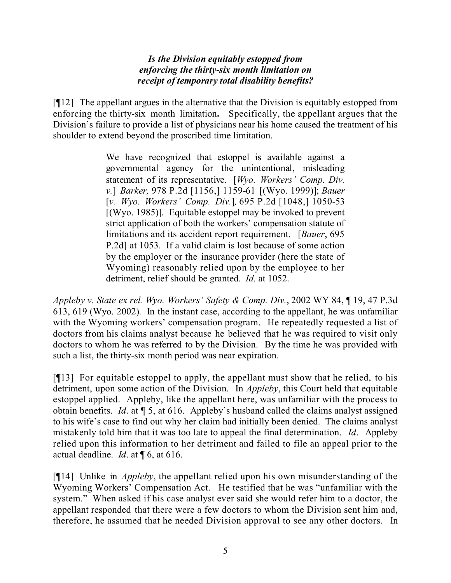## *Is the Division equitably estopped from enforcing the thirty-six month limitation on receipt of temporary total disability benefits?*

[¶12] The appellant argues in the alternative that the Division is equitably estopped from enforcing the thirty-six month limitation**.** Specifically, the appellant argues that the Division's failure to provide a list of physicians near his home caused the treatment of his shoulder to extend beyond the proscribed time limitation.

> We have recognized that estoppel is available against a governmental agency for the unintentional, misleading statement of its representative. [*Wyo. Workers' Comp. Div. v.*] *Barker,* 978 P.2d [1156,] 1159-61 [(Wyo. 1999)]; *Bauer* [*v. Wyo. Workers' Comp. Div.*]*,* 695 P.2d [1048,] 1050-53 [(Wyo. 1985)]. Equitable estoppel may be invoked to prevent strict application of both the workers' compensation statute of limitations and its accident report requirement. [*Bauer*, 695 P.2d] at 1053. If a valid claim is lost because of some action by the employer or the insurance provider (here the state of Wyoming) reasonably relied upon by the employee to her detriment, relief should be granted. *Id.* at 1052.

*Appleby v. State ex rel. Wyo. Workers' Safety & Comp. Div.*, 2002 WY 84, ¶ 19, 47 P.3d 613, 619 (Wyo. 2002). In the instant case, according to the appellant, he was unfamiliar with the Wyoming workers' compensation program. He repeatedly requested a list of doctors from his claims analyst because he believed that he was required to visit only doctors to whom he was referred to by the Division. By the time he was provided with such a list, the thirty-six month period was near expiration.

[¶13] For equitable estoppel to apply, the appellant must show that he relied, to his detriment, upon some action of the Division. In *Appleby*, this Court held that equitable estoppel applied. Appleby, like the appellant here, was unfamiliar with the process to obtain benefits. *Id*. at ¶ 5, at 616. Appleby's husband called the claims analyst assigned to his wife's case to find out why her claim had initially been denied. The claims analyst mistakenly told him that it was too late to appeal the final determination. *Id*. Appleby relied upon this information to her detriment and failed to file an appeal prior to the actual deadline. *Id*. at ¶ 6, at 616.

[¶14] Unlike in *Appleby*, the appellant relied upon his own misunderstanding of the Wyoming Workers' Compensation Act. He testified that he was "unfamiliar with the system." When asked if his case analyst ever said she would refer him to a doctor, the appellant responded that there were a few doctors to whom the Division sent him and, therefore, he assumed that he needed Division approval to see any other doctors. In